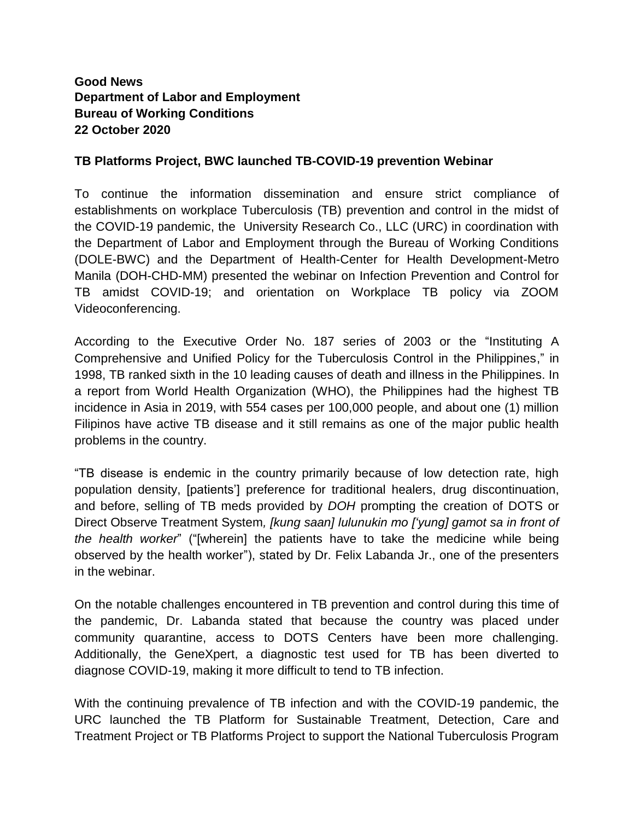## **Good News Department of Labor and Employment Bureau of Working Conditions 22 October 2020**

## **TB Platforms Project, BWC launched TB-COVID-19 prevention Webinar**

To continue the information dissemination and ensure strict compliance of establishments on workplace Tuberculosis (TB) prevention and control in the midst of the COVID-19 pandemic, the University Research Co., LLC (URC) in coordination with the Department of Labor and Employment through the Bureau of Working Conditions (DOLE-BWC) and the Department of Health-Center for Health Development-Metro Manila (DOH-CHD-MM) presented the webinar on Infection Prevention and Control for TB amidst COVID-19; and orientation on Workplace TB policy via ZOOM Videoconferencing.

According to the Executive Order No. 187 series of 2003 or the "Instituting A Comprehensive and Unified Policy for the Tuberculosis Control in the Philippines," in 1998, TB ranked sixth in the 10 leading causes of death and illness in the Philippines. In a report from World Health Organization (WHO), the Philippines had the highest TB incidence in Asia in 2019, with 554 cases per 100,000 people, and about one (1) million Filipinos have active TB disease and it still remains as one of the major public health problems in the country.

"TB disease is endemic in the country primarily because of low detection rate, high population density, [patients'] preference for traditional healers, drug discontinuation, and before, selling of TB meds provided by *DOH* prompting the creation of DOTS or Direct Observe Treatment System*, [kung saan] lulunukin mo ['yung] gamot sa in front of the health worker*" ("[wherein] the patients have to take the medicine while being observed by the health worker"), stated by Dr. Felix Labanda Jr., one of the presenters in the webinar.

On the notable challenges encountered in TB prevention and control during this time of the pandemic, Dr. Labanda stated that because the country was placed under community quarantine, access to DOTS Centers have been more challenging. Additionally, the GeneXpert, a diagnostic test used for TB has been diverted to diagnose COVID-19, making it more difficult to tend to TB infection.

With the continuing prevalence of TB infection and with the COVID-19 pandemic, the URC launched the TB Platform for Sustainable Treatment, Detection, Care and Treatment Project or TB Platforms Project to support the National Tuberculosis Program